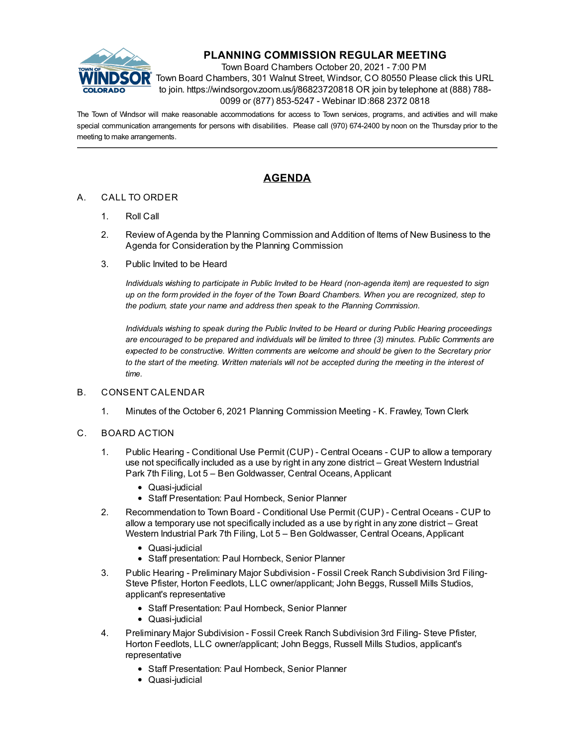

# **PLANNING COMMISSION REGULAR MEETING**

Town Board Chambers October 20, 2021 - 7:00 PM Town Board Chambers, 301 Walnut Street, Windsor, CO 80550 Please click this URL to join. https://windsorgov.zoom.us/j/86823720818 OR join by telephone at (888) 788- 0099 or (877) 853-5247 - Webinar ID:868 2372 0818

The Town of Windsor will make reasonable accommodations for access to Town services, programs, and activities and will make special communication arrangements for persons with disabilities. Please call (970) 674-2400 by noon on the Thursday prior to the meeting to make arrangements.

# **AGENDA**

### A. CALL TO ORDER

- 1. Roll Call
- 2. Review of Agenda by the Planning Commission and Addition of Items of New Business to the Agenda for Consideration by the Planning Commission
- 3. Public Invited to be Heard

*Individuals wishing to participate in Public Invited to be Heard (non-agenda item) are requested to sign* up on the form provided in the foyer of the Town Board Chambers. When you are recognized, step to *the podium, state your name and address then speak to the Planning Commission.*

*Individuals wishing to speak during the Public Invited to be Heard or during Public Hearing proceedings are encouraged to be prepared and individuals will be limited to three (3) minutes. Public Comments are expected to be constructive. Written comments are welcome and should be given to the Secretary prior* to the start of the meeting. Written materials will not be accepted during the meeting in the interest of *time.*

#### B. CONSENT CALENDAR

1. Minutes of the October 6, 2021 Planning [Commission](file:///C:/Windows/TEMP/CoverSheet.aspx?ItemID=1722&MeetingID=247) Meeting - K. Frawley, Town Clerk

#### C. BOARD ACTION

- 1. Public Hearing [Conditional](file:///C:/Windows/TEMP/CoverSheet.aspx?ItemID=1683&MeetingID=247) Use Permit (CUP) Central Oceans CUP to allow a temporary use not specifically included as a use by right in any zone district – Great Western Industrial Park 7th Filing, Lot 5 – Ben Goldwasser, Central Oceans, Applicant
	- Quasi-judicial
	- Staff Presentation: Paul Hornbeck, Senior Planner
- 2. [Recommendation](file:///C:/Windows/TEMP/CoverSheet.aspx?ItemID=1684&MeetingID=247) to Town Board Conditional Use Permit (CUP) Central Oceans CUP to allow a temporary use not specifically included as a use by right in any zone district – Great Western Industrial Park 7th Filing, Lot 5 – Ben Goldwasser, Central Oceans, Applicant
	- Quasi-judicial
	- Staff presentation: Paul Hornbeck, Senior Planner
- 3. Public Hearing Preliminary Major Subdivision Fossil Creek Ranch Subdivision 3rd Filing-Steve Pfister, Horton Feedlots, LLC [owner/applicant;](file:///C:/Windows/TEMP/CoverSheet.aspx?ItemID=1685&MeetingID=247) John Beggs, Russell Mills Studios, applicant's representative
	- Staff Presentation: Paul Hornbeck, Senior Planner
	- Quasi-judicial
- 4. Preliminary Major Subdivision Fossil Creek Ranch Subdivision 3rd Filing- Steve Pfister, Horton Feedlots, LLC [owner/applicant;](file:///C:/Windows/TEMP/CoverSheet.aspx?ItemID=1687&MeetingID=247) John Beggs, Russell Mills Studios, applicant's representative
	- Staff Presentation: Paul Hornbeck, Senior Planner
	- Quasi-judicial